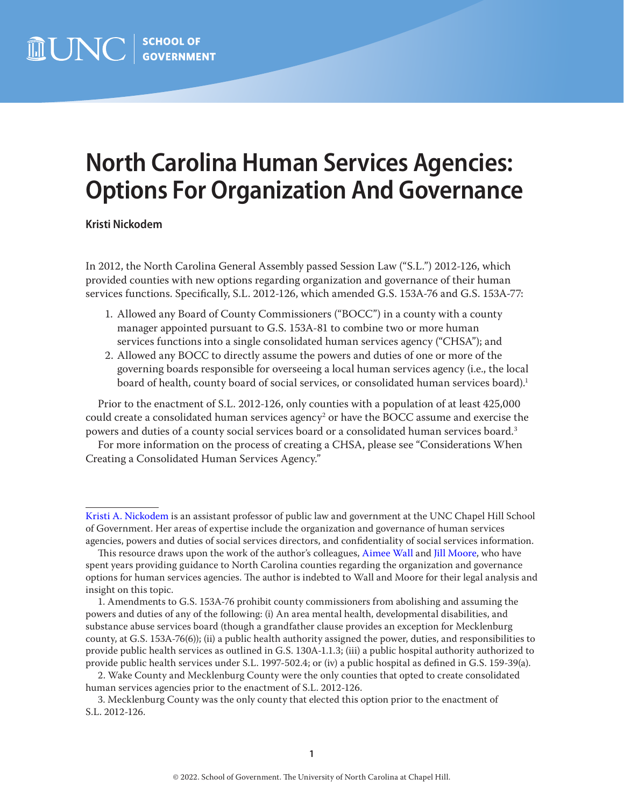## **North Carolina Human Services Agencies: Options For Organization And Governance**

**Kristi Nickodem**

In 2012, the North Carolina General Assembly passed Session Law ("S.L.") 2012-126, which provided counties with new options regarding organization and governance of their human services functions. Specifically, S.L. 2012-126, which amended G.S. 153A-76 and G.S. 153A-77:

- 1. Allowed any Board of County Commissioners ("BOCC") in a county with a county manager appointed pursuant to G.S. 153A-81 to combine two or more human services functions into a single consolidated human services agency ("CHSA"); and
- 2. Allowed any BOCC to directly assume the powers and duties of one or more of the governing boards responsible for overseeing a local human services agency (i.e., the local board of health, county board of social services, or consolidated human services board).<sup>1</sup>

Prior to the enactment of S.L. 2012-126, only counties with a population of at least 425,000 could create a consolidated human services agency $^2$  or have the BOCC assume and exercise the powers and duties of a county social services board or a consolidated human services board.<sup>3</sup>

For more information on the process of creating a CHSA, please see "Considerations When Creating a Consolidated Human Services Agency."

[Kristi A. Nickodem](https://www.sog.unc.edu/about/faculty-and-staff/kristi-nickodem) is an assistant professor of public law and government at the UNC Chapel Hill School of Government. Her areas of expertise include the organization and governance of human services agencies, powers and duties of social services directors, and confidentiality of social services information.

This resource draws upon the work of the author's colleagues, [Aimee Wall](https://www.sog.unc.edu/about/faculty-and-staff/aimee-n-wall) and [Jill Moore,](https://www.sog.unc.edu/about/faculty-and-staff/jill-d-moore) who have spent years providing guidance to North Carolina counties regarding the organization and governance options for human services agencies. The author is indebted to Wall and Moore for their legal analysis and insight on this topic.

<sup>1.</sup> Amendments to G.S. 153A-76 prohibit county commissioners from abolishing and assuming the powers and duties of any of the following: (i) An area mental health, developmental disabilities, and substance abuse services board (though a grandfather clause provides an exception for Mecklenburg county, at G.S. 153A-76(6)); (ii) a public health authority assigned the power, duties, and responsibilities to provide public health services as outlined in G.S. 130A-1.1.3; (iii) a public hospital authority authorized to provide public health services under S.L. 1997-502.4; or (iv) a public hospital as defined in G.S. 159-39(a).

<sup>2.</sup> Wake County and Mecklenburg County were the only counties that opted to create consolidated human services agencies prior to the enactment of S.L. 2012-126.

<sup>3.</sup> Mecklenburg County was the only county that elected this option prior to the enactment of S.L. 2012-126.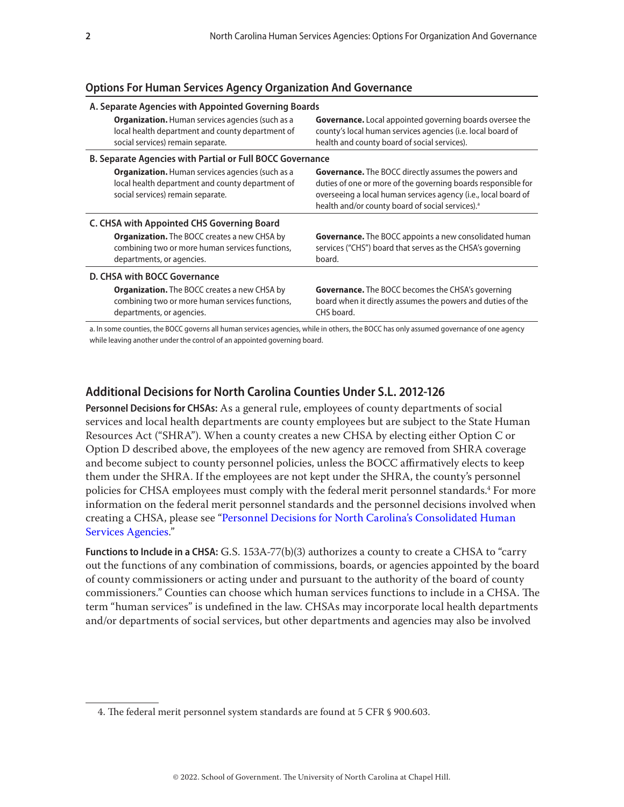## **Options For Human Services Agency Organization And Governance**

| A. Separate Agencies with Appointed Governing Boards             |                                                                                                                                                  |                                                                                                                                                                                                                                                                |
|------------------------------------------------------------------|--------------------------------------------------------------------------------------------------------------------------------------------------|----------------------------------------------------------------------------------------------------------------------------------------------------------------------------------------------------------------------------------------------------------------|
|                                                                  | <b>Organization.</b> Human services agencies (such as a<br>local health department and county department of<br>social services) remain separate. | <b>Governance.</b> Local appointed governing boards oversee the<br>county's local human services agencies (i.e. local board of<br>health and county board of social services).                                                                                 |
| <b>B. Separate Agencies with Partial or Full BOCC Governance</b> |                                                                                                                                                  |                                                                                                                                                                                                                                                                |
|                                                                  | <b>Organization.</b> Human services agencies (such as a<br>local health department and county department of<br>social services) remain separate. | <b>Governance.</b> The BOCC directly assumes the powers and<br>duties of one or more of the governing boards responsible for<br>overseeing a local human services agency (i.e., local board of<br>health and/or county board of social services). <sup>a</sup> |
| C. CHSA with Appointed CHS Governing Board                       |                                                                                                                                                  |                                                                                                                                                                                                                                                                |
|                                                                  | <b>Organization.</b> The BOCC creates a new CHSA by<br>combining two or more human services functions,<br>departments, or agencies.              | <b>Governance.</b> The BOCC appoints a new consolidated human<br>services ("CHS") board that serves as the CHSA's governing<br>board.                                                                                                                          |
| D. CHSA with BOCC Governance                                     |                                                                                                                                                  |                                                                                                                                                                                                                                                                |
|                                                                  | <b>Organization.</b> The BOCC creates a new CHSA by<br>combining two or more human services functions,<br>departments, or agencies.              | <b>Governance.</b> The BOCC becomes the CHSA's governing<br>board when it directly assumes the powers and duties of the<br>CHS board.                                                                                                                          |

a. In some counties, the BOCC governs all human services agencies, while in others, the BOCC has only assumed governance of one agency while leaving another under the control of an appointed governing board.

## **Additional Decisions for North Carolina Counties Under S.L. 2012-126**

**Personnel Decisions for CHSAs:** As a general rule, employees of county departments of social services and local health departments are county employees but are subject to the State Human Resources Act ("SHRA"). When a county creates a new CHSA by electing either Option C or Option D described above, the employees of the new agency are removed from SHRA coverage and become subject to county personnel policies, unless the BOCC affirmatively elects to keep them under the SHRA. If the employees are not kept under the SHRA, the county's personnel policies for CHSA employees must comply with the federal merit personnel standards.<sup>4</sup> For more information on the federal merit personnel standards and the personnel decisions involved when creating a CHSA, please see "[Personnel Decisions for North Carolina's Consolidated Human](https://www.sog.unc.edu/publications/bulletins/personnel-decisions-north-carolinas-consolidated-human-services-agencies)  [Services Agencies](https://www.sog.unc.edu/publications/bulletins/personnel-decisions-north-carolinas-consolidated-human-services-agencies)."

**Functions to Include in a CHSA:** G.S. 153A-77(b)(3) authorizes a county to create a CHSA to "carry out the functions of any combination of commissions, boards, or agencies appointed by the board of county commissioners or acting under and pursuant to the authority of the board of county commissioners." Counties can choose which human services functions to include in a CHSA. The term "human services" is undefined in the law. CHSAs may incorporate local health departments and/or departments of social services, but other departments and agencies may also be involved

<sup>4.</sup> The federal merit personnel system standards are found at 5 CFR § 900.603.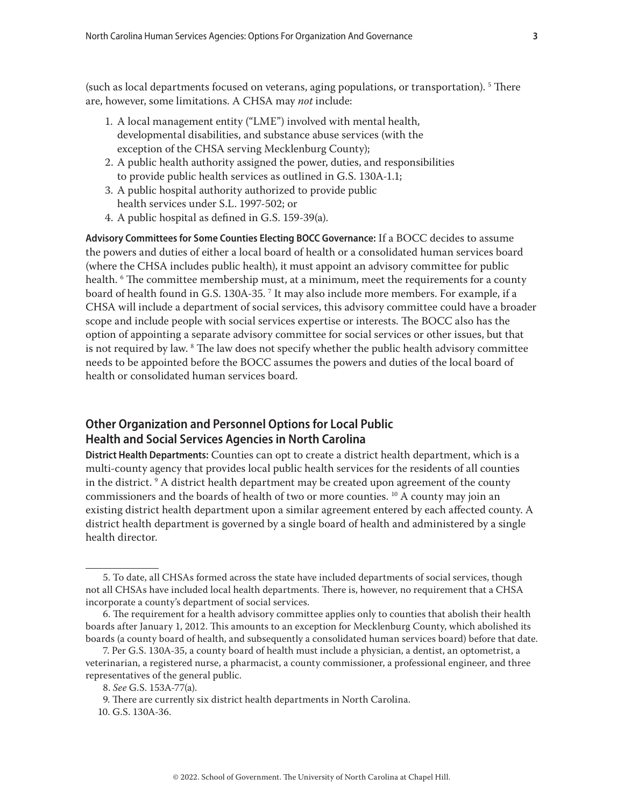(such as local departments focused on veterans, aging populations, or transportation). <sup>5</sup> There are, however, some limitations. A CHSA may *not* include:

- 1. A local management entity ("LME") involved with mental health, developmental disabilities, and substance abuse services (with the exception of the CHSA serving Mecklenburg County);
- 2. A public health authority assigned the power, duties, and responsibilities to provide public health services as outlined in G.S. 130A-1.1;
- 3. A public hospital authority authorized to provide public health services under S.L. 1997-502; or
- 4. A public hospital as defined in G.S. 159-39(a).

**Advisory Committees for Some Counties Electing BOCC Governance:** If a BOCC decides to assume the powers and duties of either a local board of health or a consolidated human services board (where the CHSA includes public health), it must appoint an advisory committee for public health. 6 The committee membership must, at a minimum, meet the requirements for a county board of health found in G.S. 130A-35. 7 It may also include more members. For example, if a CHSA will include a department of social services, this advisory committee could have a broader scope and include people with social services expertise or interests. The BOCC also has the option of appointing a separate advisory committee for social services or other issues, but that is not required by law. 8 The law does not specify whether the public health advisory committee needs to be appointed before the BOCC assumes the powers and duties of the local board of health or consolidated human services board.

## **Other Organization and Personnel Options for Local Public Health and Social Services Agencies in North Carolina**

**District Health Departments:** Counties can opt to create a district health department, which is a multi-county agency that provides local public health services for the residents of all counties in the district.  $^{\circ}$  A district health department may be created upon agreement of the county commissioners and the boards of health of two or more counties. 10 A county may join an existing district health department upon a similar agreement entered by each affected county. A district health department is governed by a single board of health and administered by a single health director.

<sup>5.</sup> To date, all CHSAs formed across the state have included departments of social services, though not all CHSAs have included local health departments. There is, however, no requirement that a CHSA incorporate a county's department of social services.

<sup>6.</sup> The requirement for a health advisory committee applies only to counties that abolish their health boards after January 1, 2012. This amounts to an exception for Mecklenburg County, which abolished its boards (a county board of health, and subsequently a consolidated human services board) before that date.

<sup>7.</sup> Per G.S. 130A-35, a county board of health must include a physician, a dentist, an optometrist, a veterinarian, a registered nurse, a pharmacist, a county commissioner, a professional engineer, and three representatives of the general public.

<sup>8.</sup> *See* G.S. 153A-77(a).

<sup>9.</sup> There are currently six district health departments in North Carolina.

<sup>10.</sup> G.S. 130A-36.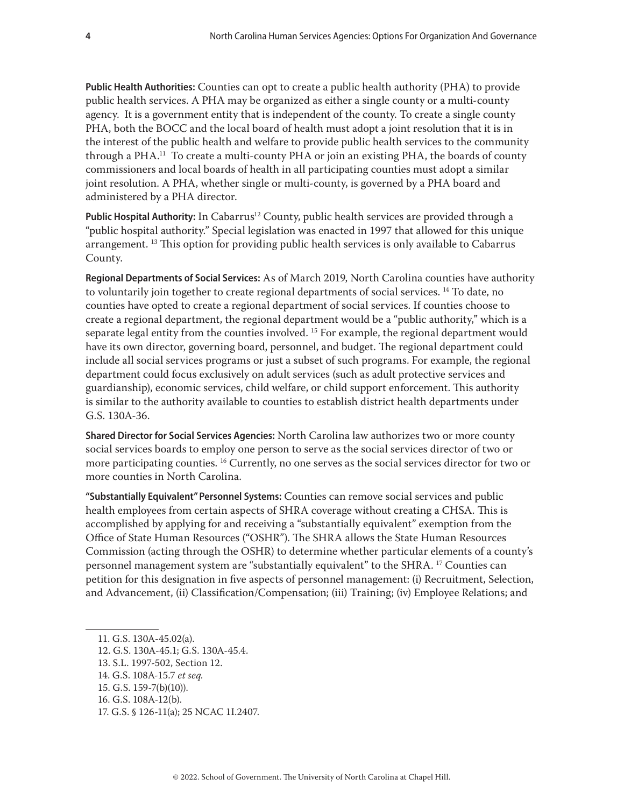**Public Health Authorities:** Counties can opt to create a public health authority (PHA) to provide public health services. A PHA may be organized as either a single county or a multi-county agency. It is a government entity that is independent of the county. To create a single county PHA, both the BOCC and the local board of health must adopt a joint resolution that it is in the interest of the public health and welfare to provide public health services to the community through a PHA.11 To create a multi-county PHA or join an existing PHA, the boards of county commissioners and local boards of health in all participating counties must adopt a similar joint resolution. A PHA, whether single or multi-county, is governed by a PHA board and administered by a PHA director.

Public Hospital Authority: In Cabarrus<sup>12</sup> County, public health services are provided through a "public hospital authority." Special legislation was enacted in 1997 that allowed for this unique arrangement.<sup>13</sup> This option for providing public health services is only available to Cabarrus County.

**Regional Departments of Social Services:** As of March 2019, North Carolina counties have authority to voluntarily join together to create regional departments of social services. <sup>14</sup> To date, no counties have opted to create a regional department of social services. If counties choose to create a regional department, the regional department would be a "public authority," which is a separate legal entity from the counties involved.<sup>15</sup> For example, the regional department would have its own director, governing board, personnel, and budget. The regional department could include all social services programs or just a subset of such programs. For example, the regional department could focus exclusively on adult services (such as adult protective services and guardianship), economic services, child welfare, or child support enforcement. This authority is similar to the authority available to counties to establish district health departments under G.S. 130A-36.

**Shared Director for Social Services Agencies:** North Carolina law authorizes two or more county social services boards to employ one person to serve as the social services director of two or more participating counties. 16 Currently, no one serves as the social services director for two or more counties in North Carolina.

**"Substantially Equivalent" Personnel Systems:** Counties can remove social services and public health employees from certain aspects of SHRA coverage without creating a CHSA. This is accomplished by applying for and receiving a "substantially equivalent" exemption from the Office of State Human Resources ("OSHR"). The SHRA allows the State Human Resources Commission (acting through the OSHR) to determine whether particular elements of a county's personnel management system are "substantially equivalent" to the SHRA. 17 Counties can petition for this designation in five aspects of personnel management: (i) Recruitment, Selection, and Advancement, (ii) Classification/Compensation; (iii) Training; (iv) Employee Relations; and

- 12. G.S. 130A-45.1; G.S. 130A-45.4.
- 13. S.L. 1997-502, Section 12.
- 14. G.S. 108A-15.7 *et seq.*
- 15. G.S. 159-7(b)(10)).
- 16. G.S. 108A-12(b).
- 17. G.S. § 126-11(a); 25 NCAC 1I.2407.

<sup>11.</sup> G.S. 130A-45.02(a).